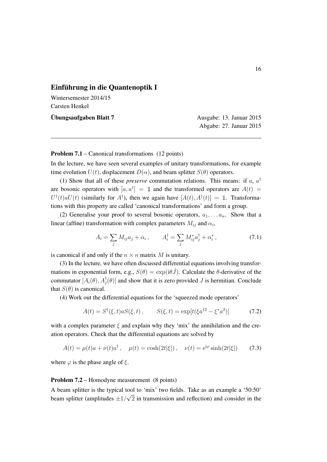## Einführung in die Quantenoptik I

Wintersemester 2014/15 Carsten Henkel

Ubungsaufgaben Blatt 7 ¨ Ausgabe: 13. Januar 2015

Abgabe: 27. Januar 2015

## Problem 7.1 – Canonical transformations (12 points)

In the lecture, we have seen several examples of unitary transformations, for example time evolution  $U(t)$ , displacement  $D(\alpha)$ , and beam splitter  $S(\theta)$  operators.

(1) Show that all of these *preserve* commutation relations. This means: if *a*, *a†* are bosonic operators with  $[a, a^{\dagger}] = \mathbb{1}$  and the transformed operators are  $A(t) =$  $U^{\dagger}(t)aU(t)$  (similarly for  $A^{\dagger}$ ), then we again have  $[A(t), A^{\dagger}(t)] = \mathbb{1}$ . Transformations with this property are called 'canonical transformations' and form a group.

(2) Generalise your proof to several bosonic operators,  $a_1, \ldots, a_n$ . Show that a linear (affine) transformation with complex parameters  $M_{ij}$  and  $\alpha_i$ ,

$$
A_{i} = \sum_{j} M_{ij} a_{j} + \alpha_{i} , \qquad A_{i}^{\dagger} = \sum_{j} M_{ij}^{*} a_{j}^{\dagger} + \alpha_{i}^{*} , \qquad (7.1)
$$

is canonical if and only if the  $n \times n$  matrix *M* is unitary.

(3) In the lecture, we have often discussed differential equations involving transformations in exponential form, e.g.,  $S(\theta) = \exp(i\theta \hat{J})$ . Calculate the  $\theta$ -derivative of the commutator  $[A_i(\theta), A_j^{\dagger}(\theta)]$  and show that it is zero provided *J* is hermitian. Conclude that  $S(\theta)$  is canonical.

(4) Work out the differential equations for the 'squeezed mode operators'

$$
A(t) = S^{\dagger}(\xi, t) a S(\xi, t), \qquad S(\xi, t) = \exp[t(\xi a^{\dagger 2} - \xi^* a^2)] \tag{7.2}
$$

with a complex parameter  $\xi$  and explain why they 'mix' the annihilation and the creation operators. Check that the differential equations are solved by

$$
A(t) = \mu(t)a + \nu(t)a^{\dagger}, \quad \mu(t) = \cosh(2t|\xi|), \quad \nu(t) = e^{i\varphi}\sinh(2t|\xi|) \tag{7.3}
$$

where  $\varphi$  is the phase angle of  $\xi$ .

## Problem 7.2 – Homodyne measurement (8 points)

A beam splitter is the typical tool to 'mix' two fields. Take as an example a '50:50' beam splitter (amplitudes  $\pm 1/\sqrt{2}$  in transmission and reflection) and consider in the